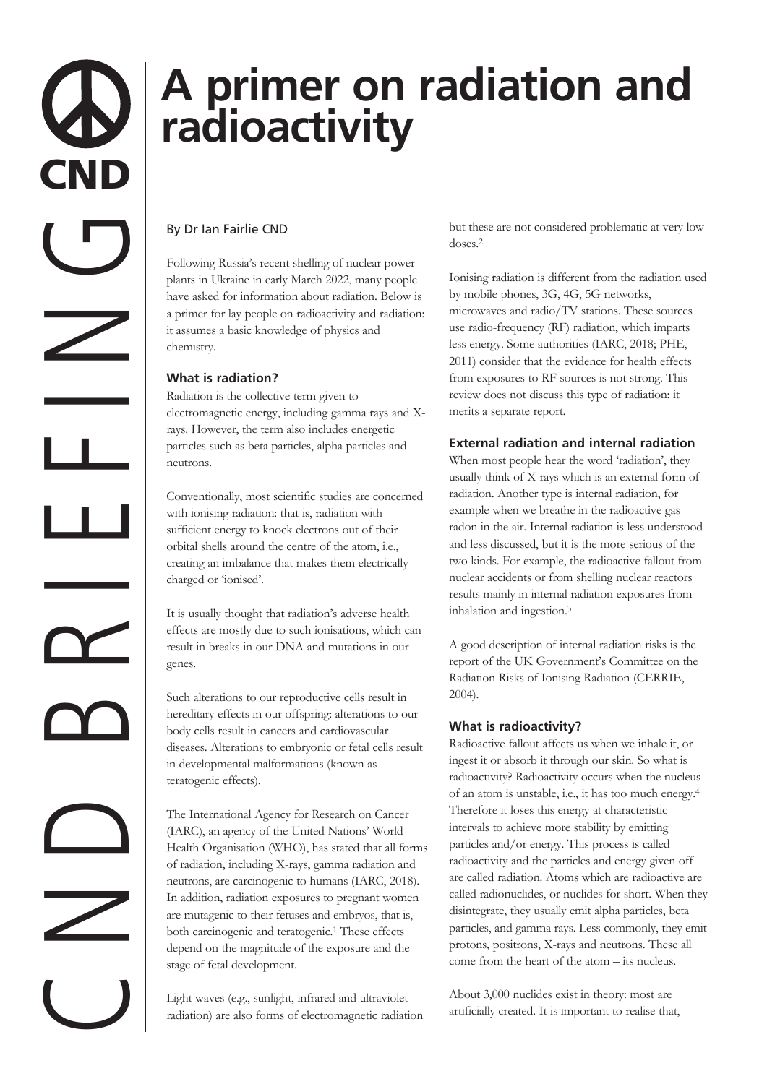# **A primer on radiation and radioactivity**

# By Dr Ian Fairlie CND

Following Russia's recent shelling of nuclear power plants in Ukraine in early March 2022, many people have asked for information about radiation. Below is a primer for lay people on radioactivity and radiation: it assumes a basic knowledge of physics and chemistry.

## **What is radiation?**

Radiation is the collective term given to electromagnetic energy, including gamma rays and Xrays. However, the term also includes energetic particles such as beta particles, alpha particles and neutrons.

Conventionally, most scientific studies are concerned with ionising radiation: that is, radiation with sufficient energy to knock electrons out of their orbital shells around the centre of the atom, i.e., creating an imbalance that makes them electrically charged or 'ionised'.

It is usually thought that radiation's adverse health effects are mostly due to such ionisations, which can result in breaks in our DNA and mutations in our genes.

Such alterations to our reproductive cells result in hereditary effects in our offspring: alterations to our body cells result in cancers and cardiovascular diseases. Alterations to embryonic or fetal cells result in developmental malformations (known as teratogenic effects).

The International Agency for Research on Cancer (IARC), an agency of the United Nations' World Health Organisation (WHO), has stated that all forms of radiation, including X-rays, gamma radiation and neutrons, are carcinogenic to humans (IARC, 2018). In addition, radiation exposures to pregnant women are mutagenic to their fetuses and embryos, that is, both carcinogenic and teratogenic.1 These effects depend on the magnitude of the exposure and the stage of fetal development.

Light waves (e.g., sunlight, infrared and ultraviolet radiation) are also forms of electromagnetic radiation but these are not considered problematic at very low doses.2

Ionising radiation is different from the radiation used by mobile phones, 3G, 4G, 5G networks, microwaves and radio/TV stations. These sources use radio-frequency (RF) radiation, which imparts less energy. Some authorities (IARC, 2018; PHE, 2011) consider that the evidence for health effects from exposures to RF sources is not strong. This review does not discuss this type of radiation: it merits a separate report.

# **External radiation and internal radiation**

When most people hear the word 'radiation', they usually think of X-rays which is an external form of radiation. Another type is internal radiation, for example when we breathe in the radioactive gas radon in the air. Internal radiation is less understood and less discussed, but it is the more serious of the two kinds. For example, the radioactive fallout from nuclear accidents or from shelling nuclear reactors results mainly in internal radiation exposures from inhalation and ingestion.3

A good description of internal radiation risks is the report of the UK Government's Committee on the Radiation Risks of Ionising Radiation (CERRIE, 2004).

# **What is radioactivity?**

Radioactive fallout affects us when we inhale it, or ingest it or absorb it through our skin. So what is radioactivity? Radioactivity occurs when the nucleus of an atom is unstable, i.e., it has too much energy.4 Therefore it loses this energy at characteristic intervals to achieve more stability by emitting particles and/or energy. This process is called radioactivity and the particles and energy given off are called radiation. Atoms which are radioactive are called radionuclides, or nuclides for short. When they disintegrate, they usually emit alpha particles, beta particles, and gamma rays. Less commonly, they emit protons, positrons, X-rays and neutrons. These all come from the heart of the atom – its nucleus.

About 3,000 nuclides exist in theory: most are artificially created. It is important to realise that,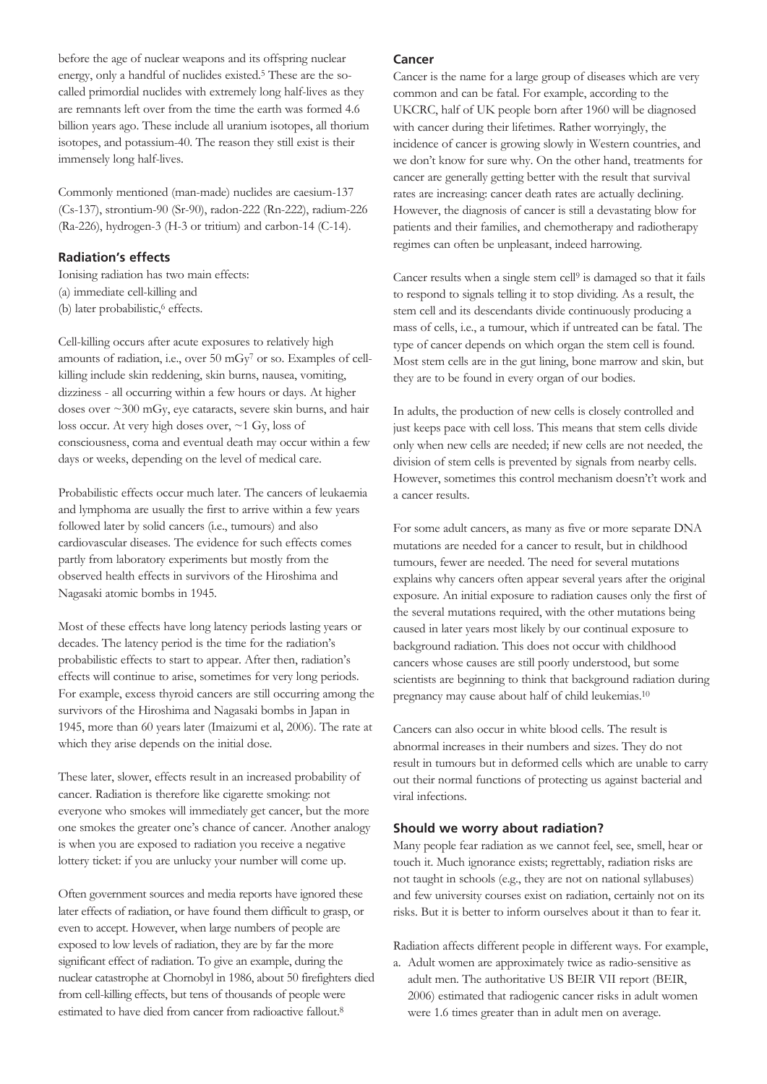before the age of nuclear weapons and its offspring nuclear energy, only a handful of nuclides existed.5 These are the socalled primordial nuclides with extremely long half-lives as they are remnants left over from the time the earth was formed 4.6 billion years ago. These include all uranium isotopes, all thorium isotopes, and potassium-40. The reason they still exist is their immensely long half-lives.

Commonly mentioned (man-made) nuclides are caesium-137 (Cs-137), strontium-90 (Sr-90), radon-222 (Rn-222), radium-226 (Ra-226), hydrogen-3 (H-3 or tritium) and carbon-14 (C-14).

#### **Radiation's effects**

Ionising radiation has two main effects: (a) immediate cell-killing and (b) later probabilistic,<sup>6</sup> effects.

Cell-killing occurs after acute exposures to relatively high amounts of radiation, i.e., over 50 mGy7 or so. Examples of cellkilling include skin reddening, skin burns, nausea, vomiting, dizziness - all occurring within a few hours or days. At higher doses over ~300 mGy, eye cataracts, severe skin burns, and hair loss occur. At very high doses over, ~1 Gy, loss of consciousness, coma and eventual death may occur within a few days or weeks, depending on the level of medical care.

Probabilistic effects occur much later. The cancers of leukaemia and lymphoma are usually the first to arrive within a few years followed later by solid cancers (i.e., tumours) and also cardiovascular diseases. The evidence for such effects comes partly from laboratory experiments but mostly from the observed health effects in survivors of the Hiroshima and Nagasaki atomic bombs in 1945.

Most of these effects have long latency periods lasting years or decades. The latency period is the time for the radiation's probabilistic effects to start to appear. After then, radiation's effects will continue to arise, sometimes for very long periods. For example, excess thyroid cancers are still occurring among the survivors of the Hiroshima and Nagasaki bombs in Japan in 1945, more than 60 years later (Imaizumi et al, 2006). The rate at which they arise depends on the initial dose.

These later, slower, effects result in an increased probability of cancer. Radiation is therefore like cigarette smoking: not everyone who smokes will immediately get cancer, but the more one smokes the greater one's chance of cancer. Another analogy is when you are exposed to radiation you receive a negative lottery ticket: if you are unlucky your number will come up.

Often government sources and media reports have ignored these later effects of radiation, or have found them difficult to grasp, or even to accept. However, when large numbers of people are exposed to low levels of radiation, they are by far the more significant effect of radiation. To give an example, during the nuclear catastrophe at Chornobyl in 1986, about 50 firefighters died from cell-killing effects, but tens of thousands of people were estimated to have died from cancer from radioactive fallout.8

#### **Cancer**

Cancer is the name for a large group of diseases which are very common and can be fatal. For example, according to the UKCRC, half of UK people born after 1960 will be diagnosed with cancer during their lifetimes. Rather worryingly, the incidence of cancer is growing slowly in Western countries, and we don't know for sure why. On the other hand, treatments for cancer are generally getting better with the result that survival rates are increasing: cancer death rates are actually declining. However, the diagnosis of cancer is still a devastating blow for patients and their families, and chemotherapy and radiotherapy regimes can often be unpleasant, indeed harrowing.

Cancer results when a single stem cell9 is damaged so that it fails to respond to signals telling it to stop dividing. As a result, the stem cell and its descendants divide continuously producing a mass of cells, i.e., a tumour, which if untreated can be fatal. The type of cancer depends on which organ the stem cell is found. Most stem cells are in the gut lining, bone marrow and skin, but they are to be found in every organ of our bodies.

In adults, the production of new cells is closely controlled and just keeps pace with cell loss. This means that stem cells divide only when new cells are needed; if new cells are not needed, the division of stem cells is prevented by signals from nearby cells. However, sometimes this control mechanism doesn't't work and a cancer results.

For some adult cancers, as many as five or more separate DNA mutations are needed for a cancer to result, but in childhood tumours, fewer are needed. The need for several mutations explains why cancers often appear several years after the original exposure. An initial exposure to radiation causes only the first of the several mutations required, with the other mutations being caused in later years most likely by our continual exposure to background radiation. This does not occur with childhood cancers whose causes are still poorly understood, but some scientists are beginning to think that background radiation during pregnancy may cause about half of child leukemias.10

Cancers can also occur in white blood cells. The result is abnormal increases in their numbers and sizes. They do not result in tumours but in deformed cells which are unable to carry out their normal functions of protecting us against bacterial and viral infections.

#### **Should we worry about radiation?**

Many people fear radiation as we cannot feel, see, smell, hear or touch it. Much ignorance exists; regrettably, radiation risks are not taught in schools (e.g., they are not on national syllabuses) and few university courses exist on radiation, certainly not on its risks. But it is better to inform ourselves about it than to fear it.

Radiation affects different people in different ways. For example,

a. Adult women are approximately twice as radio-sensitive as adult men. The authoritative US BEIR VII report (BEIR, 2006) estimated that radiogenic cancer risks in adult women were 1.6 times greater than in adult men on average.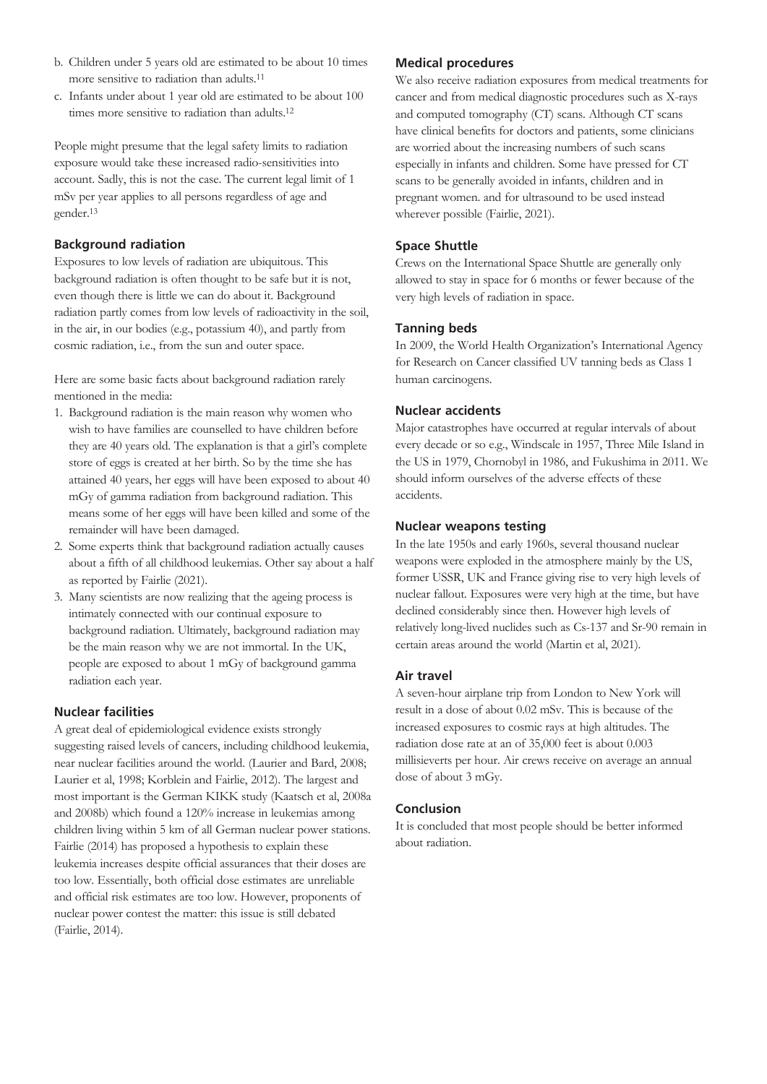- b. Children under 5 years old are estimated to be about 10 times more sensitive to radiation than adults.11
- c. Infants under about 1 year old are estimated to be about 100 times more sensitive to radiation than adults.<sup>12</sup>

People might presume that the legal safety limits to radiation exposure would take these increased radio-sensitivities into account. Sadly, this is not the case. The current legal limit of 1 mSv per year applies to all persons regardless of age and gender.13

#### **Background radiation**

Exposures to low levels of radiation are ubiquitous. This background radiation is often thought to be safe but it is not, even though there is little we can do about it. Background radiation partly comes from low levels of radioactivity in the soil, in the air, in our bodies (e.g., potassium 40), and partly from cosmic radiation, i.e., from the sun and outer space.

Here are some basic facts about background radiation rarely mentioned in the media:

- 1. Background radiation is the main reason why women who wish to have families are counselled to have children before they are 40 years old. The explanation is that a girl's complete store of eggs is created at her birth. So by the time she has attained 40 years, her eggs will have been exposed to about 40 mGy of gamma radiation from background radiation. This means some of her eggs will have been killed and some of the remainder will have been damaged.
- 2. Some experts think that background radiation actually causes about a fifth of all childhood leukemias. Other say about a half as reported by Fairlie (2021).
- 3. Many scientists are now realizing that the ageing process is intimately connected with our continual exposure to background radiation. Ultimately, background radiation may be the main reason why we are not immortal. In the UK, people are exposed to about 1 mGy of background gamma radiation each year.

# **Nuclear facilities**

A great deal of epidemiological evidence exists strongly suggesting raised levels of cancers, including childhood leukemia, near nuclear facilities around the world. (Laurier and Bard, 2008; Laurier et al, 1998; Korblein and Fairlie, 2012). The largest and most important is the German KIKK study (Kaatsch et al, 2008a and 2008b) which found a 120% increase in leukemias among children living within 5 km of all German nuclear power stations. Fairlie (2014) has proposed a hypothesis to explain these leukemia increases despite official assurances that their doses are too low. Essentially, both official dose estimates are unreliable and official risk estimates are too low. However, proponents of nuclear power contest the matter: this issue is still debated (Fairlie, 2014).

#### **Medical procedures**

We also receive radiation exposures from medical treatments for cancer and from medical diagnostic procedures such as X-rays and computed tomography (CT) scans. Although CT scans have clinical benefits for doctors and patients, some clinicians are worried about the increasing numbers of such scans especially in infants and children. Some have pressed for CT scans to be generally avoided in infants, children and in pregnant women. and for ultrasound to be used instead wherever possible (Fairlie, 2021).

## **Space Shuttle**

Crews on the International Space Shuttle are generally only allowed to stay in space for 6 months or fewer because of the very high levels of radiation in space.

## **Tanning beds**

In 2009, the World Health Organization's International Agency for Research on Cancer classified UV tanning beds as Class 1 human carcinogens.

## **Nuclear accidents**

Major catastrophes have occurred at regular intervals of about every decade or so e.g., Windscale in 1957, Three Mile Island in the US in 1979, Chornobyl in 1986, and Fukushima in 2011. We should inform ourselves of the adverse effects of these accidents.

## **Nuclear weapons testing**

In the late 1950s and early 1960s, several thousand nuclear weapons were exploded in the atmosphere mainly by the US, former USSR, UK and France giving rise to very high levels of nuclear fallout. Exposures were very high at the time, but have declined considerably since then. However high levels of relatively long-lived nuclides such as Cs-137 and Sr-90 remain in certain areas around the world (Martin et al, 2021).

# **Air travel**

A seven-hour airplane trip from London to New York will result in a dose of about 0.02 mSv. This is because of the increased exposures to cosmic rays at high altitudes. The radiation dose rate at an of 35,000 feet is about 0.003 millisieverts per hour. Air crews receive on average an annual dose of about 3 mGy.

#### **Conclusion**

It is concluded that most people should be better informed about radiation.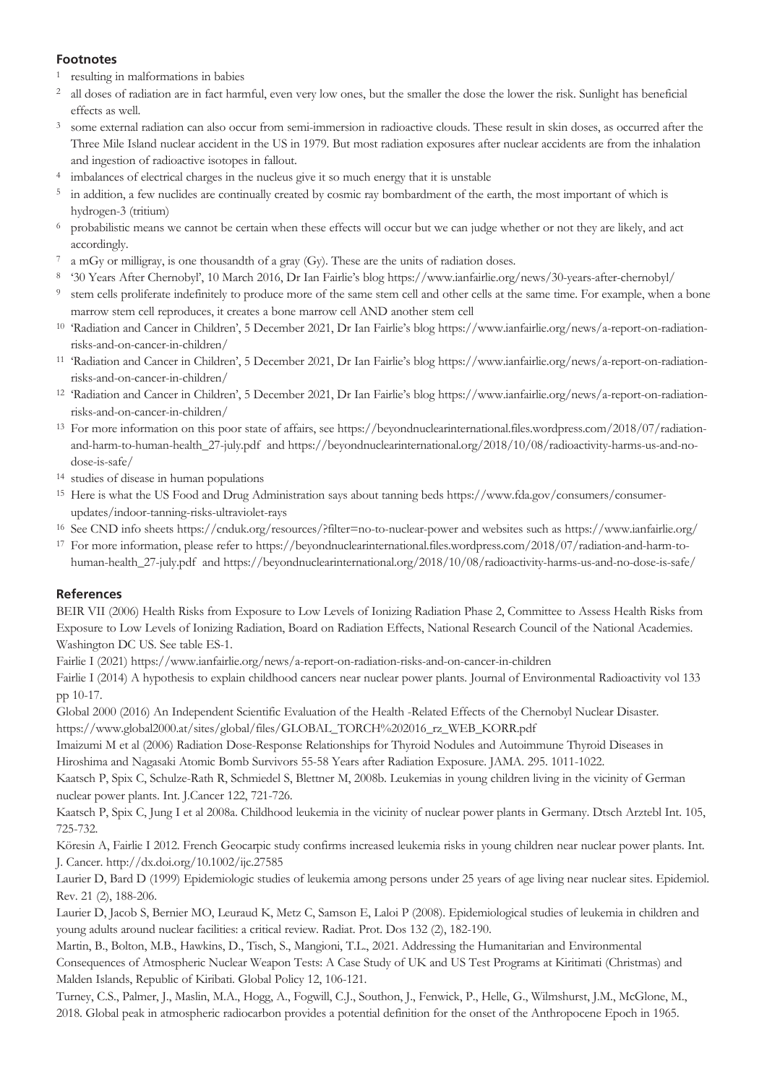## **Footnotes**

- <sup>1</sup> resulting in malformations in babies
- <sup>2</sup> all doses of radiation are in fact harmful, even very low ones, but the smaller the dose the lower the risk. Sunlight has beneficial effects as well.
- <sup>3</sup> some external radiation can also occur from semi-immersion in radioactive clouds. These result in skin doses, as occurred after the Three Mile Island nuclear accident in the US in 1979. But most radiation exposures after nuclear accidents are from the inhalation and ingestion of radioactive isotopes in fallout.
- <sup>4</sup> imbalances of electrical charges in the nucleus give it so much energy that it is unstable
- <sup>5</sup> in addition, a few nuclides are continually created by cosmic ray bombardment of the earth, the most important of which is hydrogen-3 (tritium)
- <sup>6</sup> probabilistic means we cannot be certain when these effects will occur but we can judge whether or not they are likely, and act accordingly.
- a mGy or milligray, is one thousandth of a gray (Gy). These are the units of radiation doses.
- <sup>8</sup> '30 Years After Chernobyl', 10 March 2016, Dr Ian Fairlie's blog https://www.ianfairlie.org/news/30-years-after-chernobyl/
- <sup>9</sup> stem cells proliferate indefinitely to produce more of the same stem cell and other cells at the same time. For example, when a bone marrow stem cell reproduces, it creates a bone marrow cell AND another stem cell
- <sup>10</sup> 'Radiation and Cancer in Children', 5 December 2021, Dr Ian Fairlie's blog https://www.ianfairlie.org/news/a-report-on-radiationrisks-and-on-cancer-in-children/
- <sup>11</sup> 'Radiation and Cancer in Children', 5 December 2021, Dr Ian Fairlie's blog https://www.ianfairlie.org/news/a-report-on-radiationrisks-and-on-cancer-in-children/
- <sup>12</sup> 'Radiation and Cancer in Children', 5 December 2021, Dr Ian Fairlie's blog https://www.ianfairlie.org/news/a-report-on-radiationrisks-and-on-cancer-in-children/
- <sup>13</sup> For more information on this poor state of affairs, see https://beyondnuclearinternational.files.wordpress.com/2018/07/radiationand-harm-to-human-health\_27-july.pdf and https://beyondnuclearinternational.org/2018/10/08/radioactivity-harms-us-and-nodose-is-safe/
- <sup>14</sup> studies of disease in human populations
- <sup>15</sup> Here is what the US Food and Drug Administration says about tanning beds https://www.fda.gov/consumers/consumerupdates/indoor-tanning-risks-ultraviolet-rays
- <sup>16</sup> See CND info sheets https://cnduk.org/resources/?filter=no-to-nuclear-power and websites such as https://www.ianfairlie.org/
- <sup>17</sup> For more information, please refer to https://beyondnuclearinternational.files.wordpress.com/2018/07/radiation-and-harm-tohuman-health\_27-july.pdf and https://beyondnuclearinternational.org/2018/10/08/radioactivity-harms-us-and-no-dose-is-safe/

# **References**

BEIR VII (2006) Health Risks from Exposure to Low Levels of Ionizing Radiation Phase 2, Committee to Assess Health Risks from Exposure to Low Levels of Ionizing Radiation, Board on Radiation Effects, National Research Council of the National Academies. Washington DC US. See table ES-1.

Fairlie I (2021) https://www.ianfairlie.org/news/a-report-on-radiation-risks-and-on-cancer-in-children

Fairlie I (2014) A hypothesis to explain childhood cancers near nuclear power plants. Journal of Environmental Radioactivity vol 133 pp 10-17.

Global 2000 (2016) An Independent Scientific Evaluation of the Health -Related Effects of the Chernobyl Nuclear Disaster.

https://www.global2000.at/sites/global/files/GLOBAL\_TORCH%202016\_rz\_WEB\_KORR.pdf

Imaizumi M et al (2006) Radiation Dose-Response Relationships for Thyroid Nodules and Autoimmune Thyroid Diseases in Hiroshima and Nagasaki Atomic Bomb Survivors 55-58 Years after Radiation Exposure. JAMA. 295. 1011-1022.

Kaatsch P, Spix C, Schulze-Rath R, Schmiedel S, Blettner M, 2008b. Leukemias in young children living in the vicinity of German nuclear power plants. Int. J.Cancer 122, 721-726.

Kaatsch P, Spix C, Jung I et al 2008a. Childhood leukemia in the vicinity of nuclear power plants in Germany. Dtsch Arztebl Int. 105, 725-732.

Köresin A, Fairlie I 2012. French Geocarpic study confirms increased leukemia risks in young children near nuclear power plants. Int. J. Cancer. http://dx.doi.org/10.1002/ijc.27585

Laurier D, Bard D (1999) Epidemiologic studies of leukemia among persons under 25 years of age living near nuclear sites. Epidemiol. Rev. 21 (2), 188-206.

Laurier D, Jacob S, Bernier MO, Leuraud K, Metz C, Samson E, Laloi P (2008). Epidemiological studies of leukemia in children and young adults around nuclear facilities: a critical review. Radiat. Prot. Dos 132 (2), 182-190.

Martin, B., Bolton, M.B., Hawkins, D., Tisch, S., Mangioni, T.L., 2021. Addressing the Humanitarian and Environmental Consequences of Atmospheric Nuclear Weapon Tests: A Case Study of UK and US Test Programs at Kiritimati (Christmas) and Malden Islands, Republic of Kiribati. Global Policy 12, 106-121.

Turney, C.S., Palmer, J., Maslin, M.A., Hogg, A., Fogwill, C.J., Southon, J., Fenwick, P., Helle, G., Wilmshurst, J.M., McGlone, M., 2018. Global peak in atmospheric radiocarbon provides a potential definition for the onset of the Anthropocene Epoch in 1965.